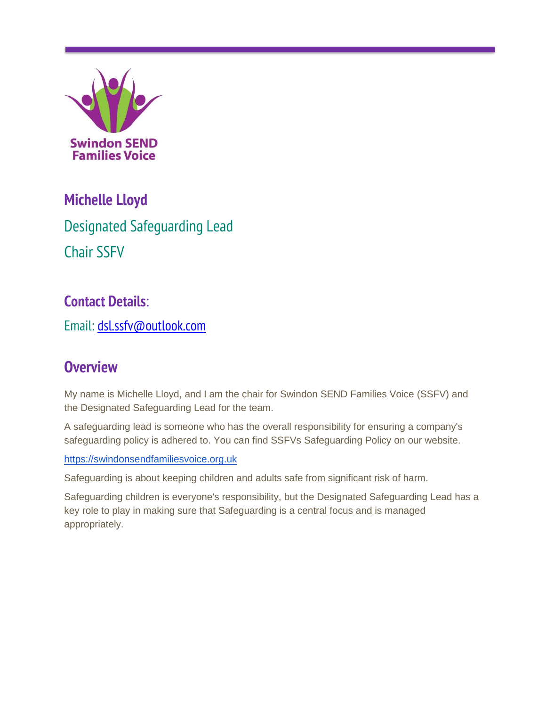

# **Michelle Lloyd**

Designated Safeguarding Lead Chair SSFV

## **Contact Details**:

Email: [dsl.ssfv@outlook.com](mailto:dsl.ssfv@outlook.com)

## **Overview**

My name is Michelle Lloyd, and I am the chair for Swindon SEND Families Voice (SSFV) and the Designated Safeguarding Lead for the team.

A safeguarding lead is someone who has the overall responsibility for ensuring a company's safeguarding policy is adhered to. You can find SSFVs Safeguarding Policy on our website.

[https://swindonsendfamiliesvoice.org.uk](https://swindonsendfamiliesvoice.org.uk/)

Safeguarding is about keeping children and adults safe from significant risk of harm.

Safeguarding children is everyone's responsibility, but the Designated Safeguarding Lead has a key role to play in making sure that Safeguarding is a central focus and is managed appropriately.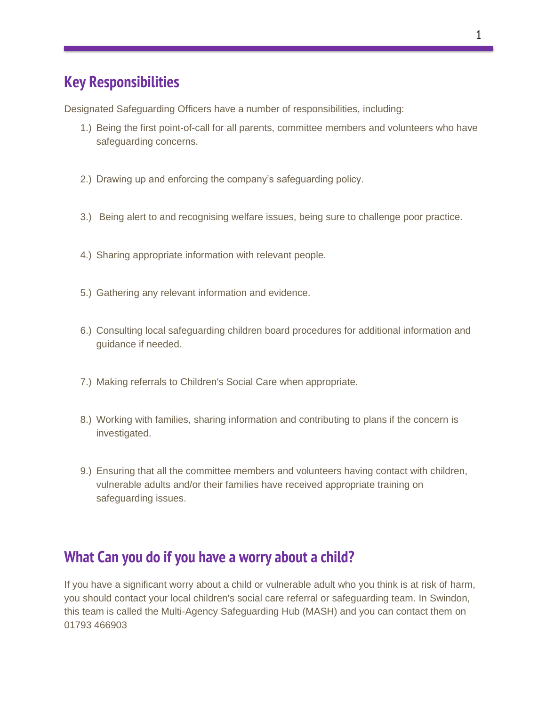### **Key Responsibilities**

Designated Safeguarding Officers have a number of responsibilities, including:

- 1.) Being the first point-of-call for all parents, committee members and volunteers who have safeguarding concerns.
- 2.) Drawing up and enforcing the company's safeguarding policy.
- 3.) Being alert to and recognising welfare issues, being sure to challenge poor practice.
- 4.) Sharing appropriate information with relevant people.
- 5.) Gathering any relevant information and evidence.
- 6.) Consulting local safeguarding children board procedures for additional information and guidance if needed.
- 7.) Making referrals to Children's Social Care when appropriate.
- 8.) Working with families, sharing information and contributing to plans if the concern is investigated.
- 9.) Ensuring that all the committee members and volunteers having contact with children, vulnerable adults and/or their families have received appropriate training on safeguarding issues.

#### **What Can you do if you have a worry about a child?**

If you have a significant worry about a child or vulnerable adult who you think is at risk of harm, you should contact your local children's social care referral or safeguarding team. In Swindon, this team is called the Multi-Agency Safeguarding Hub (MASH) and you can contact them on 01793 466903